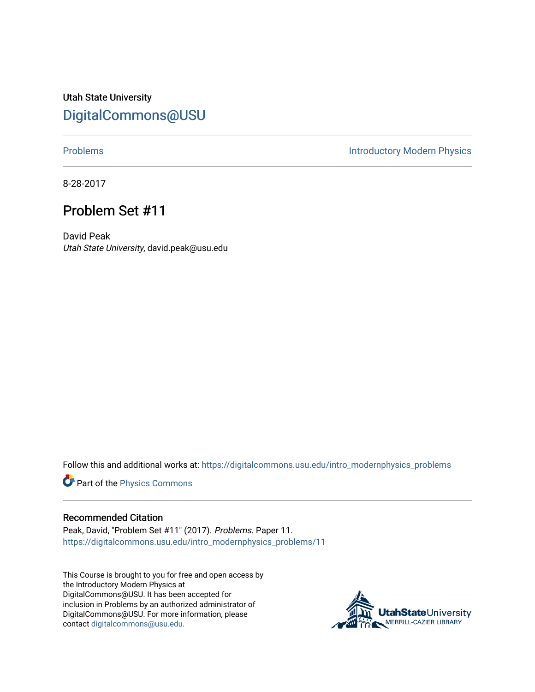Utah State University [DigitalCommons@USU](https://digitalcommons.usu.edu/)

[Problems](https://digitalcommons.usu.edu/intro_modernphysics_problems) **Introductory Modern Physics** 

8-28-2017

## Problem Set #11

David Peak Utah State University, david.peak@usu.edu

Follow this and additional works at: [https://digitalcommons.usu.edu/intro\\_modernphysics\\_problems](https://digitalcommons.usu.edu/intro_modernphysics_problems?utm_source=digitalcommons.usu.edu%2Fintro_modernphysics_problems%2F11&utm_medium=PDF&utm_campaign=PDFCoverPages) 

Part of the [Physics Commons](http://network.bepress.com/hgg/discipline/193?utm_source=digitalcommons.usu.edu%2Fintro_modernphysics_problems%2F11&utm_medium=PDF&utm_campaign=PDFCoverPages)

## Recommended Citation

Peak, David, "Problem Set #11" (2017). Problems. Paper 11. [https://digitalcommons.usu.edu/intro\\_modernphysics\\_problems/11](https://digitalcommons.usu.edu/intro_modernphysics_problems/11?utm_source=digitalcommons.usu.edu%2Fintro_modernphysics_problems%2F11&utm_medium=PDF&utm_campaign=PDFCoverPages) 

This Course is brought to you for free and open access by the Introductory Modern Physics at DigitalCommons@USU. It has been accepted for inclusion in Problems by an authorized administrator of DigitalCommons@USU. For more information, please contact [digitalcommons@usu.edu](mailto:digitalcommons@usu.edu).